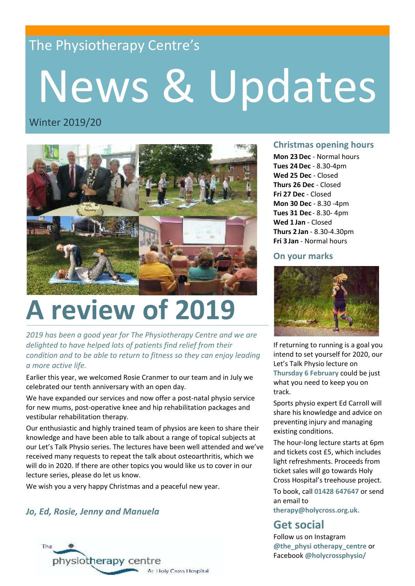## The Physiotherapy Centre's

# News & Updates

### Winter 2019/20



## **A review of 2019**

*2019 has been a good year for The Physiotherapy Centre and we are delighted to have helped lots of patients find relief from their condition and to be able to return to fitness so they can enjoy leading a more active life.*

Earlier this year, we welcomed Rosie Cranmer to our team and in July we celebrated our tenth anniversary with an open day.

We have expanded our services and now offer a post-natal physio service for new mums, post-operative knee and hip rehabilitation packages and vestibular rehabilitation therapy.

Our enthusiastic and highly trained team of physios are keen to share their knowledge and have been able to talk about a range of topical subjects at our Let's Talk Physio series. The lectures have been well attended and we've received many requests to repeat the talk about osteoarthritis, which we will do in 2020. If there are other topics you would like us to cover in our lecture series, please do let us know.

We wish you a very happy Christmas and a peaceful new year.

#### *Jo, Ed, Rosie, Jenny and Manuela*



#### **Christmas opening hours**

**Mon 23Dec** - Normal hours **Tues 24Dec** - 8.30-4pm **Wed 25 Dec** - Closed **Thurs 26 Dec** - Closed **Fri 27 Dec** - Closed **Mon 30 Dec** - 8.30 -4pm **Tues 31 Dec** - 8.30- 4pm **Wed 1 Jan** - Closed **Thurs 2 Jan** - 8.30-4.30pm **Fri 3 Jan** - Normal hours

#### **On your marks**



If returning to running is a goal you intend to set yourself for 2020, our Let's Talk Physio lecture on **Thursday 6 February** could be just what you need to keep you on track.

Sports physio expert Ed Carroll will share his knowledge and advice on preventing injury and managing existing conditions.

The hour-long lecture starts at 6pm and tickets cost £5, which includes light refreshments. Proceeds from ticket sales will go towards Holy Cross Hospital's treehouse project.

To book, call **01428 647647** or send an email to

**therapy@holycross.org.uk.**

## **Get social**

Follow us on Instagram **@the\_physi otherapy\_centre** or Facebook **@holycrossphysio/**